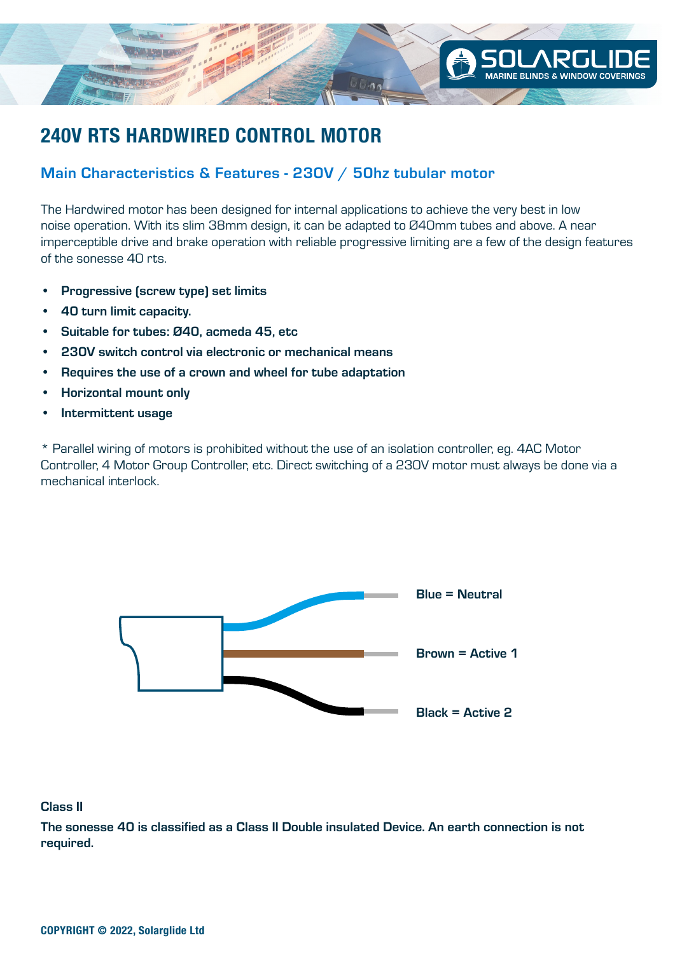

## **240V RTS HARDWIRED CONTROL MOTOR**

## Main Characteristics & Features - 230V / 50hz tubular motor

The Hardwired motor has been designed for internal applications to achieve the very best in low noise operation. With its slim 38mm design, it can be adapted to Ø40mm tubes and above. A near imperceptible drive and brake operation with reliable progressive limiting are a few of the design features of the sonesse 40 rts.

- Progressive (screw type) set limits
- 40 turn limit capacity.
- Suitable for tubes: Ø40, acmeda 45, etc
- 230V switch control via electronic or mechanical means
- Requires the use of a crown and wheel for tube adaptation
- Horizontal mount only
- Intermittent usage

\* Parallel wiring of motors is prohibited without the use of an isolation controller, eg. 4AC Motor Controller, 4 Motor Group Controller, etc. Direct switching of a 230V motor must always be done via a mechanical interlock.



## Class II

The sonesse 40 is classified as a Class II Double insulated Device. An earth connection is not required.